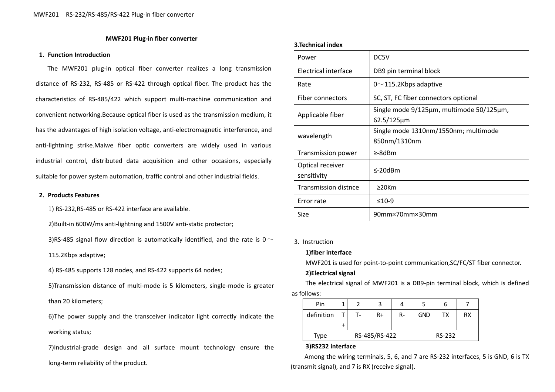# **MWF201 Plug-in fiber converter**

#### **1. Function Introduction**

The MWF201 plug-in optical fiber converter realizes a long transmission distance of RS-232, RS-485 or RS-422 through optical fiber. The product has the characteristics of RS-485/422 which support multi-machine communication and convenient networking.Because optical fiber is used as the transmission medium, it has the advantages of high isolation voltage, anti-electromagnetic interference, and anti-lightning strike.Maiwe fiber optic converters are widely used in various industrial control, distributed data acquisition and other occasions, especially suitable for power system automation, traffic control and other industrial fields.

#### **2. Products Features**

1) RS-232,RS-485 or RS-422 interface are available.

2)Built-in 600W/ms anti-lightning and 1500V anti-static protector;

3)RS-485 signal flow direction is automatically identified, and the rate is 0  $\sim$ 

115.2Kbps adaptive;

4) RS-485 supports 128 nodes, and RS-422 supports 64 nodes;

5)Transmission distance of multi-mode is 5 kilometers, single-mode is greater than 20 kilometers;

6)The power supply and the transceiver indicator light correctly indicate the working status;

7)Industrial-grade design and all surface mount technology ensure the long-term reliability of the product.

#### **3.Technical index**

| Power                           | DC5V                                                         |
|---------------------------------|--------------------------------------------------------------|
| Electrical interface            | DB9 pin terminal block                                       |
| Rate                            | $0 \sim$ 115.2Kbps adaptive                                  |
| Fiber connectors                | SC, ST, FC fiber connectors optional                         |
| Applicable fiber                | Single mode 9/125µm, multimode 50/125µm,<br>$62.5/125 \mu m$ |
| wavelength                      | Single mode 1310nm/1550nm; multimode<br>850nm/1310nm         |
| <b>Transmission power</b>       | ≥-8dBm                                                       |
| Optical receiver<br>sensitivity | $\leq$ -20 $dBm$                                             |
| <b>Transmission distnce</b>     | $\geq$ 20Km                                                  |
| Error rate                      | $≤10-9$                                                      |
| Size                            | 90mm×70mm×30mm                                               |

# 3. Instruction

# **1)fiber interface**

MWF201 is used for point-to-point communication,SC/FC/ST fiber connector.

## **2)Electrical signal**

The electrical signal of MWF201 is a DB9-pin terminal block, which is defined as follows:

| Pin        | л                        |    |      |    |            | b  |           |
|------------|--------------------------|----|------|----|------------|----|-----------|
| definition | $\overline{\phantom{0}}$ | т. | $R+$ | R- | <b>GND</b> | тх | <b>RX</b> |
|            | $\ddot{}$                |    |      |    |            |    |           |
| Type       | RS-485/RS-422            |    |      |    | RS-232     |    |           |

#### **3)RS232 interface**

Among the wiring terminals, 5, 6, and 7 are RS-232 interfaces, 5 is GND, 6 is TX (transmit signal), and 7 is RX (receive signal).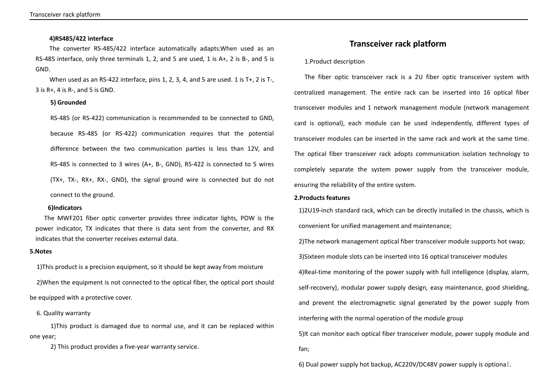## **4)RS485/422 interface**

The converter RS-485/422 interface automatically adapts.When used as an RS-485 interface, only three terminals 1, 2, and 5 are used, 1 is A+, 2 is B-, and 5 is GND.<br>When used as an RS-422 interface, pins 1, 2, 3, 4, and 5 are used. 1 is T+, 2 is T-,

3 is  $R+$ , 4 is  $R-$ , and 5 is GND.

# **5) Grounded**

RS-485 (or RS-422) communication is recommended to be connected to GND, because RS-485 (or RS-422) communication requires that the potential difference between the two communication parties is less than 12V, and RS-485 is connected to 3 wires (A+, B-, GND), RS-422 is connected to 5 wires (TX+, TX-, RX+, RX-, GND), the signal ground wire is connected but do not connect to the ground.

#### **6)Indicators**

The MWF201 fiber optic converter provides three indicator lights, POW is the power indicator, TX indicates that there is data sent from the converter, and RX indicates that the converter receives external data.

### **5.Notes**

1)This product is a precision equipment, so it should be kept away from moisture

2)When the equipment is not connected to the optical fiber, the optical port should be equipped with a protective cover.

6. Quality warranty

1)This product is damaged due to normal use, and it can be replaced within one year;

2) This product provides a five-year warranty service.

# **Transceiver rack platform**

## 1.Product description

The fiber optic transceiver rack is a 2U fiber optic transceiver system with centralized management. The entire rack can be inserted into 16 optical fiber transceiver modules and 1 network management module (network management card is optional), each module can be used independently, different types of transceiver modules can be inserted in the same rack and work at the same time. The optical fiber transceiver rack adopts communication isolation technology to completely separate the system power supply from the transceiver module, ensuring the reliability of the entire system.

# **2.Products features**

1)2U19-inch standard rack, which can be directly installed in the chassis, which is convenient for unified management and maintenance;

2)The network management optical fiber transceiver module supports hot swap; 3)Sixteen module slots can be inserted into 16 optical transceiver modules 4)Real-time monitoring of the power supply with full intelligence (display, alarm, self-recovery), modular power supply design, easy maintenance, good shielding, and prevent the electromagnetic signal generated by the power supply from interfering with the normal operation of the module group

5)It can monitor each optical fiber transceiver module, power supply module and fan;

6) Dual power supply hot backup, AC220V/DC48V power supply is optional.